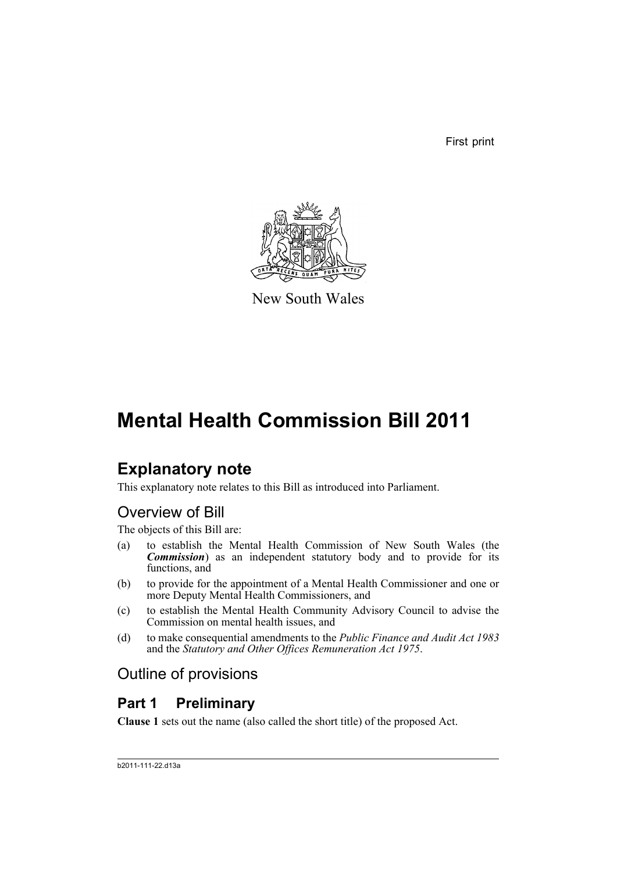First print



New South Wales

# **Mental Health Commission Bill 2011**

# **Explanatory note**

This explanatory note relates to this Bill as introduced into Parliament.

# Overview of Bill

The objects of this Bill are:

- (a) to establish the Mental Health Commission of New South Wales (the *Commission*) as an independent statutory body and to provide for its functions, and
- (b) to provide for the appointment of a Mental Health Commissioner and one or more Deputy Mental Health Commissioners, and
- (c) to establish the Mental Health Community Advisory Council to advise the Commission on mental health issues, and
- (d) to make consequential amendments to the *Public Finance and Audit Act 1983* and the *Statutory and Other Offices Remuneration Act 1975*.

# Outline of provisions

### **Part 1 Preliminary**

**Clause 1** sets out the name (also called the short title) of the proposed Act.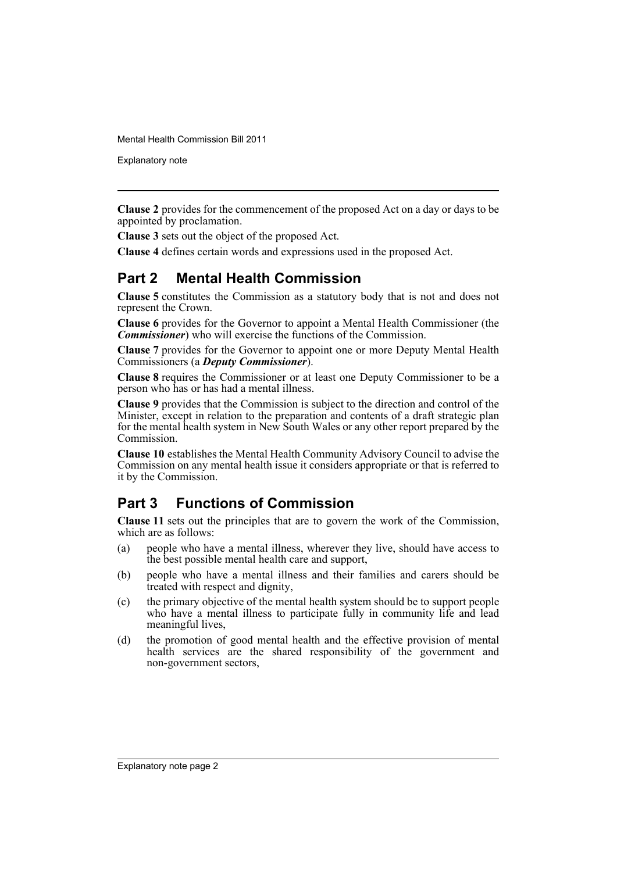Explanatory note

**Clause 2** provides for the commencement of the proposed Act on a day or days to be appointed by proclamation.

**Clause 3** sets out the object of the proposed Act.

**Clause 4** defines certain words and expressions used in the proposed Act.

### **Part 2 Mental Health Commission**

**Clause 5** constitutes the Commission as a statutory body that is not and does not represent the Crown.

**Clause 6** provides for the Governor to appoint a Mental Health Commissioner (the *Commissioner*) who will exercise the functions of the Commission.

**Clause 7** provides for the Governor to appoint one or more Deputy Mental Health Commissioners (a *Deputy Commissioner*).

**Clause 8** requires the Commissioner or at least one Deputy Commissioner to be a person who has or has had a mental illness.

**Clause 9** provides that the Commission is subject to the direction and control of the Minister, except in relation to the preparation and contents of a draft strategic plan for the mental health system in New South Wales or any other report prepared by the Commission.

**Clause 10** establishes the Mental Health Community Advisory Council to advise the Commission on any mental health issue it considers appropriate or that is referred to it by the Commission.

### **Part 3 Functions of Commission**

**Clause 11** sets out the principles that are to govern the work of the Commission, which are as follows:

- (a) people who have a mental illness, wherever they live, should have access to the best possible mental health care and support,
- (b) people who have a mental illness and their families and carers should be treated with respect and dignity,
- (c) the primary objective of the mental health system should be to support people who have a mental illness to participate fully in community life and lead meaningful lives,
- (d) the promotion of good mental health and the effective provision of mental health services are the shared responsibility of the government and non-government sectors,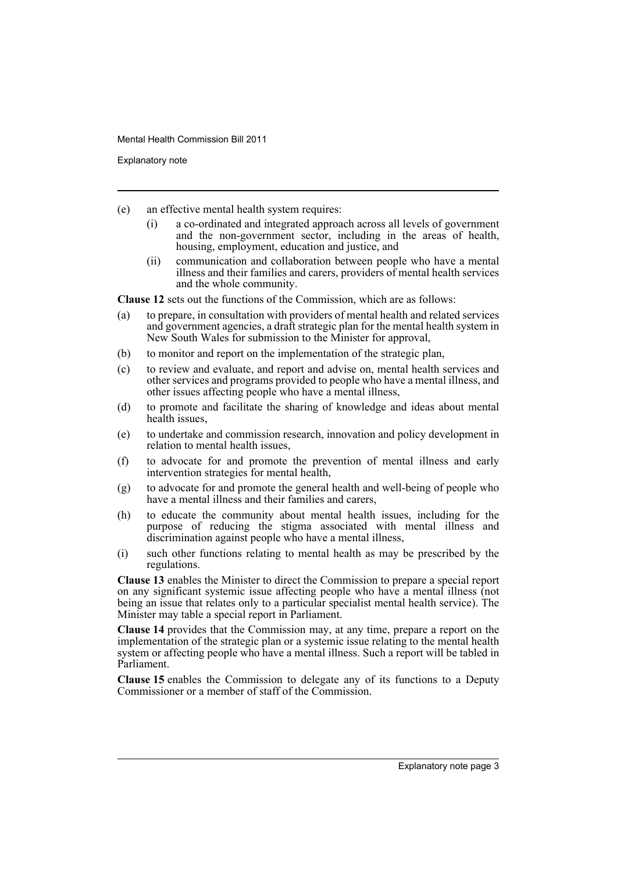Explanatory note

- (e) an effective mental health system requires:
	- (i) a co-ordinated and integrated approach across all levels of government and the non-government sector, including in the areas of health, housing, employment, education and justice, and
	- (ii) communication and collaboration between people who have a mental illness and their families and carers, providers of mental health services and the whole community.

**Clause 12** sets out the functions of the Commission, which are as follows:

- (a) to prepare, in consultation with providers of mental health and related services and government agencies, a draft strategic plan for the mental health system in New South Wales for submission to the Minister for approval,
- (b) to monitor and report on the implementation of the strategic plan,
- (c) to review and evaluate, and report and advise on, mental health services and other services and programs provided to people who have a mental illness, and other issues affecting people who have a mental illness,
- (d) to promote and facilitate the sharing of knowledge and ideas about mental health issues,
- (e) to undertake and commission research, innovation and policy development in relation to mental health issues,
- (f) to advocate for and promote the prevention of mental illness and early intervention strategies for mental health,
- (g) to advocate for and promote the general health and well-being of people who have a mental illness and their families and carers,
- (h) to educate the community about mental health issues, including for the purpose of reducing the stigma associated with mental illness and discrimination against people who have a mental illness,
- (i) such other functions relating to mental health as may be prescribed by the regulations.

**Clause 13** enables the Minister to direct the Commission to prepare a special report on any significant systemic issue affecting people who have a mental illness (not being an issue that relates only to a particular specialist mental health service). The Minister may table a special report in Parliament.

**Clause 14** provides that the Commission may, at any time, prepare a report on the implementation of the strategic plan or a systemic issue relating to the mental health system or affecting people who have a mental illness. Such a report will be tabled in Parliament.

**Clause 15** enables the Commission to delegate any of its functions to a Deputy Commissioner or a member of staff of the Commission.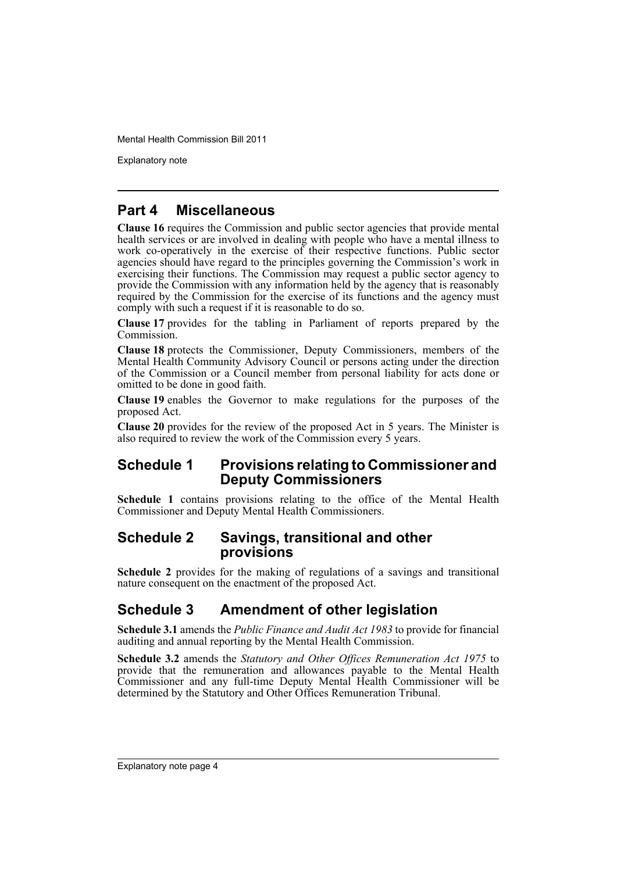Explanatory note

### **Part 4 Miscellaneous**

**Clause 16** requires the Commission and public sector agencies that provide mental health services or are involved in dealing with people who have a mental illness to work co-operatively in the exercise of their respective functions. Public sector agencies should have regard to the principles governing the Commission's work in exercising their functions. The Commission may request a public sector agency to provide the Commission with any information held by the agency that is reasonably required by the Commission for the exercise of its functions and the agency must comply with such a request if it is reasonable to do so.

**Clause 17** provides for the tabling in Parliament of reports prepared by the Commission.

**Clause 18** protects the Commissioner, Deputy Commissioners, members of the Mental Health Community Advisory Council or persons acting under the direction of the Commission or a Council member from personal liability for acts done or omitted to be done in good faith.

**Clause 19** enables the Governor to make regulations for the purposes of the proposed Act.

**Clause 20** provides for the review of the proposed Act in 5 years. The Minister is also required to review the work of the Commission every 5 years.

### **Schedule 1 Provisions relating to Commissioner and Deputy Commissioners**

**Schedule 1** contains provisions relating to the office of the Mental Health Commissioner and Deputy Mental Health Commissioners.

### **Schedule 2 Savings, transitional and other provisions**

**Schedule 2** provides for the making of regulations of a savings and transitional nature consequent on the enactment of the proposed Act.

### **Schedule 3 Amendment of other legislation**

**Schedule 3.1** amends the *Public Finance and Audit Act 1983* to provide for financial auditing and annual reporting by the Mental Health Commission.

**Schedule 3.2** amends the *Statutory and Other Offices Remuneration Act 1975* to provide that the remuneration and allowances payable to the Mental Health Commissioner and any full-time Deputy Mental Health Commissioner will be determined by the Statutory and Other Offices Remuneration Tribunal.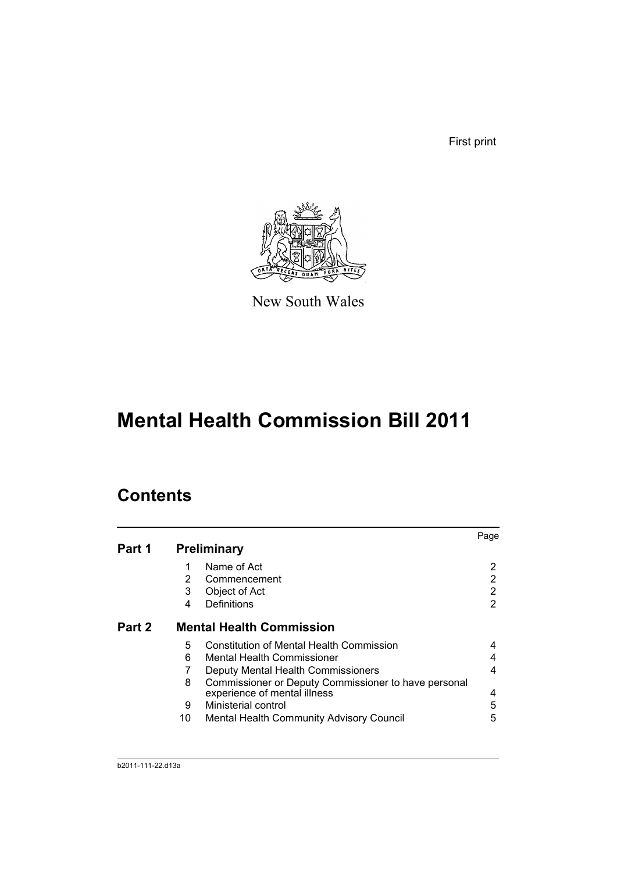First print



New South Wales

# **Mental Health Commission Bill 2011**

# **Contents**

|        |    |                                                      | Page |
|--------|----|------------------------------------------------------|------|
| Part 1 |    | <b>Preliminary</b>                                   |      |
|        | 1  | Name of Act                                          | 2    |
|        | 2  | Commencement                                         | 2    |
|        | 3  | Object of Act                                        | 2    |
|        | 4  | Definitions                                          | 2    |
| Part 2 |    | <b>Mental Health Commission</b>                      |      |
|        | 5  | <b>Constitution of Mental Health Commission</b>      |      |
|        | 6  | <b>Mental Health Commissioner</b>                    |      |
|        |    | Deputy Mental Health Commissioners                   | 4    |
|        | 8  | Commissioner or Deputy Commissioner to have personal |      |
|        |    | experience of mental illness                         | 4    |
|        | 9  | Ministerial control                                  | 5    |
|        | 10 | Mental Health Community Advisory Council             | 5    |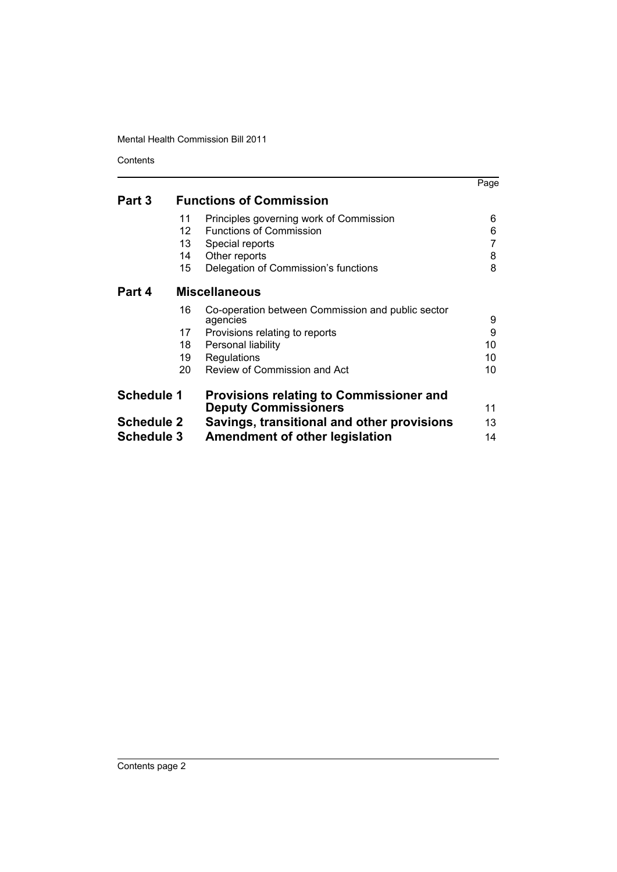Contents

|                   |                   |                                                               | Page |
|-------------------|-------------------|---------------------------------------------------------------|------|
| Part 3            |                   | <b>Functions of Commission</b>                                |      |
|                   | 11                | Principles governing work of Commission                       | 6    |
|                   | $12 \overline{ }$ | <b>Functions of Commission</b>                                | 6    |
|                   | 13                | Special reports                                               |      |
|                   | 14                | Other reports                                                 | 8    |
|                   | 15                | Delegation of Commission's functions                          | 8    |
| Part 4            |                   | <b>Miscellaneous</b>                                          |      |
|                   | 16                | Co-operation between Commission and public sector<br>agencies | 9    |
|                   | 17                | Provisions relating to reports                                | 9    |
|                   | 18                | Personal liability                                            | 10   |
|                   | 19                | Regulations                                                   | 10   |
|                   | 20                | Review of Commission and Act                                  | 10   |
| <b>Schedule 1</b> |                   | <b>Provisions relating to Commissioner and</b>                |      |
|                   |                   | <b>Deputy Commissioners</b>                                   | 11   |
| <b>Schedule 2</b> |                   | Savings, transitional and other provisions                    | 13   |
| <b>Schedule 3</b> |                   | <b>Amendment of other legislation</b>                         | 14   |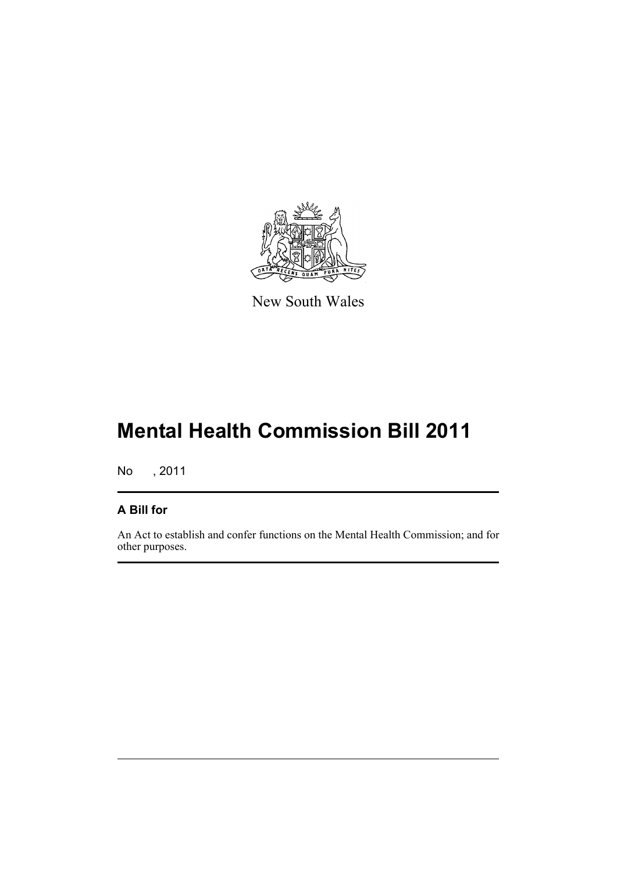

New South Wales

# **Mental Health Commission Bill 2011**

No , 2011

### **A Bill for**

An Act to establish and confer functions on the Mental Health Commission; and for other purposes.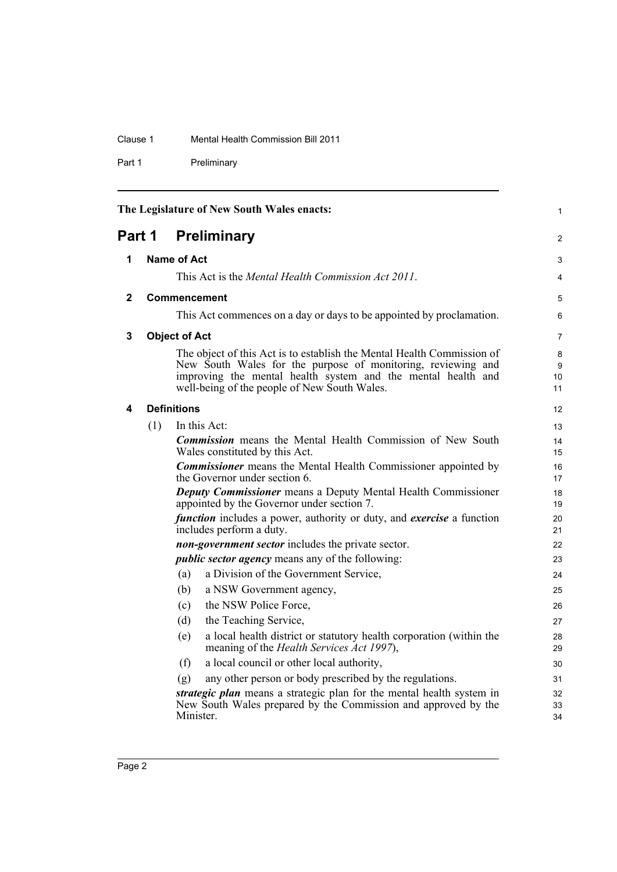### Clause 1 Mental Health Commission Bill 2011

Part 1 Preliminary

<span id="page-7-4"></span><span id="page-7-3"></span><span id="page-7-2"></span><span id="page-7-1"></span><span id="page-7-0"></span>

|        |                      | The Legislature of New South Wales enacts:                                                                                                                                                                                                             | 1              |  |  |  |  |
|--------|----------------------|--------------------------------------------------------------------------------------------------------------------------------------------------------------------------------------------------------------------------------------------------------|----------------|--|--|--|--|
| Part 1 |                      | <b>Preliminary</b>                                                                                                                                                                                                                                     | 2              |  |  |  |  |
| 1      |                      | <b>Name of Act</b>                                                                                                                                                                                                                                     | 3              |  |  |  |  |
|        |                      | This Act is the <i>Mental Health Commission Act 2011</i> .                                                                                                                                                                                             | $\overline{4}$ |  |  |  |  |
| 2      | Commencement         |                                                                                                                                                                                                                                                        |                |  |  |  |  |
|        |                      | This Act commences on a day or days to be appointed by proclamation.                                                                                                                                                                                   | 6              |  |  |  |  |
| 3      | <b>Object of Act</b> |                                                                                                                                                                                                                                                        |                |  |  |  |  |
|        |                      | The object of this Act is to establish the Mental Health Commission of<br>New South Wales for the purpose of monitoring, reviewing and<br>improving the mental health system and the mental health and<br>well-being of the people of New South Wales. |                |  |  |  |  |
| 4      |                      | <b>Definitions</b>                                                                                                                                                                                                                                     | 12             |  |  |  |  |
|        | (1)                  | In this Act:                                                                                                                                                                                                                                           | 13             |  |  |  |  |
|        |                      | <b>Commission</b> means the Mental Health Commission of New South<br>Wales constituted by this Act.                                                                                                                                                    | 14<br>15       |  |  |  |  |
|        |                      | <b>Commissioner</b> means the Mental Health Commissioner appointed by<br>the Governor under section 6.                                                                                                                                                 | 16<br>17       |  |  |  |  |
|        |                      | <b>Deputy Commissioner</b> means a Deputy Mental Health Commissioner<br>appointed by the Governor under section 7.                                                                                                                                     | 18<br>19       |  |  |  |  |
|        |                      | <i>function</i> includes a power, authority or duty, and <i>exercise</i> a function<br>includes perform a duty.                                                                                                                                        | 20<br>21       |  |  |  |  |
|        |                      | non-government sector includes the private sector.                                                                                                                                                                                                     | 22             |  |  |  |  |
|        |                      | <i>public sector agency</i> means any of the following:                                                                                                                                                                                                | 23             |  |  |  |  |
|        |                      | a Division of the Government Service,<br>(a)                                                                                                                                                                                                           | 24             |  |  |  |  |
|        |                      | (b)<br>a NSW Government agency,                                                                                                                                                                                                                        | 25             |  |  |  |  |
|        |                      | the NSW Police Force,<br>(c)                                                                                                                                                                                                                           | 26             |  |  |  |  |
|        |                      | the Teaching Service,<br>(d)                                                                                                                                                                                                                           | 27             |  |  |  |  |
|        |                      | a local health district or statutory health corporation (within the<br>(e)<br>meaning of the <i>Health Services Act 1997</i> ),                                                                                                                        | 28<br>29       |  |  |  |  |
|        |                      | a local council or other local authority,<br>(f)                                                                                                                                                                                                       | 30             |  |  |  |  |
|        |                      | any other person or body prescribed by the regulations.<br>(g)                                                                                                                                                                                         | 31             |  |  |  |  |
|        |                      | strategic plan means a strategic plan for the mental health system in<br>New South Wales prepared by the Commission and approved by the<br>Minister.                                                                                                   | 32<br>33<br>34 |  |  |  |  |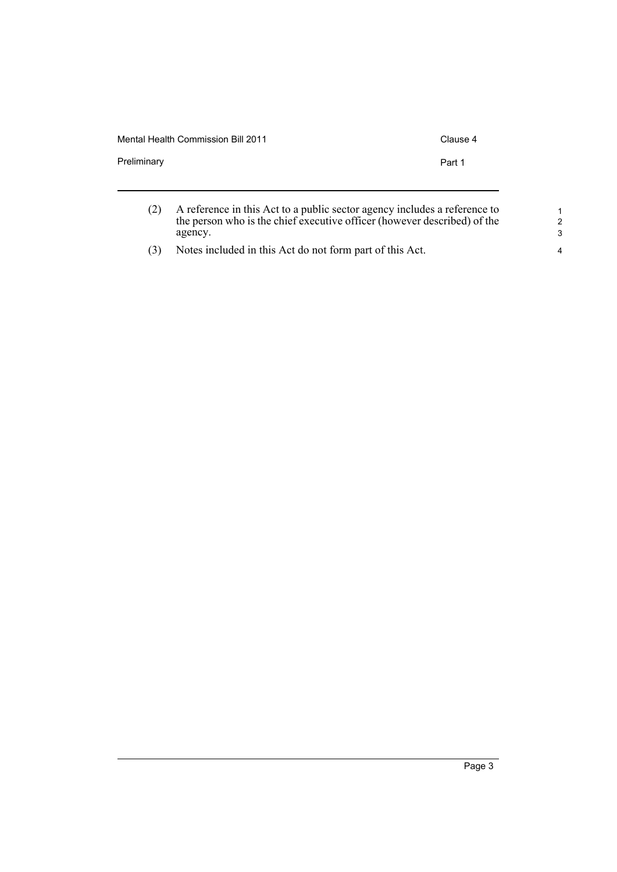|             | Mental Health Commission Bill 2011<br>Clause 4                            |
|-------------|---------------------------------------------------------------------------|
| Preliminary | Part 1                                                                    |
|             | A reference in this Act to a public sector agency includes a reference to |

the person who is the chief executive officer (however described) of the

agency. (3) Notes included in this Act do not form part of this Act.

Page 3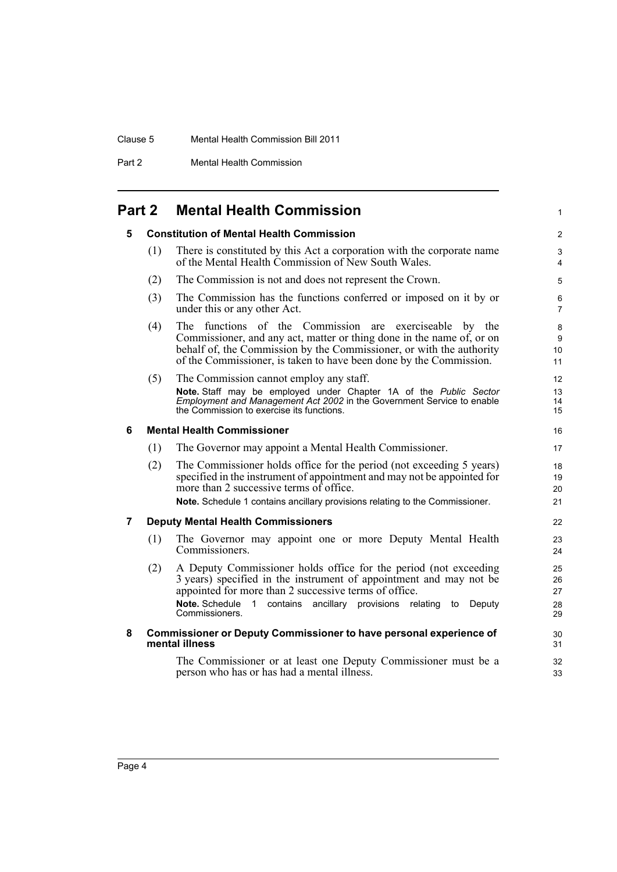### Clause 5 Mental Health Commission Bill 2011

Part 2 Mental Health Commission

## <span id="page-9-1"></span><span id="page-9-0"></span>**Part 2 Mental Health Commission**

<span id="page-9-4"></span><span id="page-9-3"></span><span id="page-9-2"></span>

| 5              |     | <b>Constitution of Mental Health Commission</b>                                                                                                                                                                                                                                                                  | $\overline{c}$             |
|----------------|-----|------------------------------------------------------------------------------------------------------------------------------------------------------------------------------------------------------------------------------------------------------------------------------------------------------------------|----------------------------|
|                | (1) | There is constituted by this Act a corporation with the corporate name<br>of the Mental Health Commission of New South Wales.                                                                                                                                                                                    | 3<br>4                     |
|                | (2) | The Commission is not and does not represent the Crown.                                                                                                                                                                                                                                                          | 5                          |
|                | (3) | The Commission has the functions conferred or imposed on it by or<br>under this or any other Act.                                                                                                                                                                                                                | 6<br>$\overline{7}$        |
|                | (4) | The functions of the Commission are exerciseable<br>by the<br>Commissioner, and any act, matter or thing done in the name of, or on<br>behalf of, the Commission by the Commissioner, or with the authority<br>of the Commissioner, is taken to have been done by the Commission.                                | 8<br>9<br>10<br>11         |
|                | (5) | The Commission cannot employ any staff.<br>Note. Staff may be employed under Chapter 1A of the Public Sector<br>Employment and Management Act 2002 in the Government Service to enable<br>the Commission to exercise its functions.                                                                              | 12<br>13<br>14<br>15       |
| 6              |     | <b>Mental Health Commissioner</b>                                                                                                                                                                                                                                                                                | 16                         |
|                | (1) | The Governor may appoint a Mental Health Commissioner.                                                                                                                                                                                                                                                           | 17                         |
|                | (2) | The Commissioner holds office for the period (not exceeding 5 years)<br>specified in the instrument of appointment and may not be appointed for<br>more than 2 successive terms of office.<br>Note. Schedule 1 contains ancillary provisions relating to the Commissioner.                                       | 18<br>19<br>20<br>21       |
| $\overline{7}$ |     | <b>Deputy Mental Health Commissioners</b>                                                                                                                                                                                                                                                                        | 22                         |
|                | (1) | The Governor may appoint one or more Deputy Mental Health<br>Commissioners.                                                                                                                                                                                                                                      | 23<br>24                   |
|                | (2) | A Deputy Commissioner holds office for the period (not exceeding<br>3 years) specified in the instrument of appointment and may not be<br>appointed for more than 2 successive terms of office.<br>Note. Schedule<br>$\mathbf{1}$<br>contains<br>ancillary provisions relating<br>Deputy<br>to<br>Commissioners. | 25<br>26<br>27<br>28<br>29 |
| 8              |     | <b>Commissioner or Deputy Commissioner to have personal experience of</b><br>mental illness                                                                                                                                                                                                                      | 30<br>31                   |
|                |     | The Commissioner or at least one Deputy Commissioner must be a<br>person who has or has had a mental illness.                                                                                                                                                                                                    | 32<br>33                   |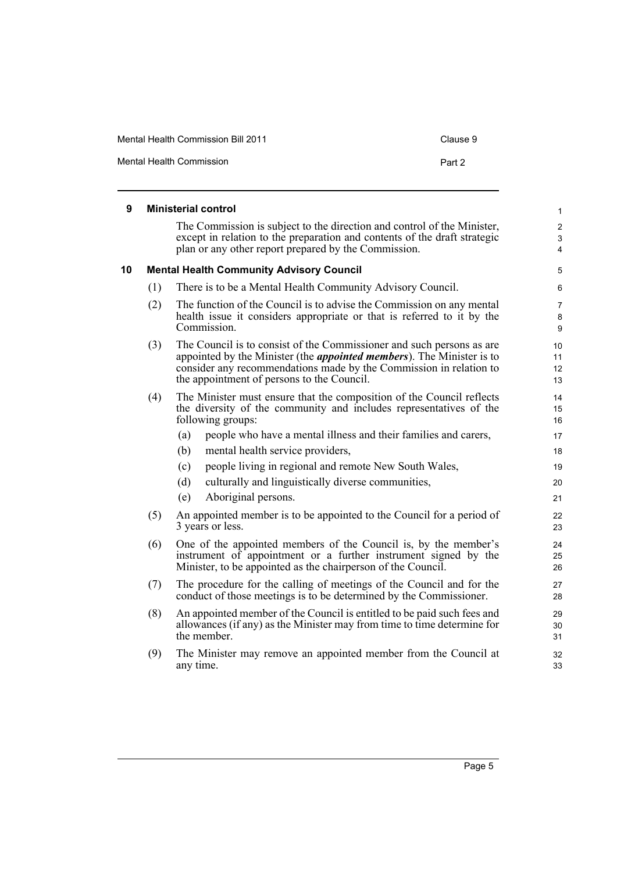<span id="page-10-1"></span><span id="page-10-0"></span>

| 9  |     | <b>Ministerial control</b>                                                                                                                                                                                                                                                 | 1                        |
|----|-----|----------------------------------------------------------------------------------------------------------------------------------------------------------------------------------------------------------------------------------------------------------------------------|--------------------------|
|    |     | The Commission is subject to the direction and control of the Minister,<br>except in relation to the preparation and contents of the draft strategic<br>plan or any other report prepared by the Commission.                                                               | $\overline{c}$<br>3<br>4 |
| 10 |     | <b>Mental Health Community Advisory Council</b>                                                                                                                                                                                                                            | 5                        |
|    | (1) | There is to be a Mental Health Community Advisory Council.                                                                                                                                                                                                                 | 6                        |
|    | (2) | The function of the Council is to advise the Commission on any mental<br>health issue it considers appropriate or that is referred to it by the<br>Commission.                                                                                                             | 7<br>8<br>9              |
|    | (3) | The Council is to consist of the Commissioner and such persons as are<br>appointed by the Minister (the <i>appointed members</i> ). The Minister is to<br>consider any recommendations made by the Commission in relation to<br>the appointment of persons to the Council. | 10<br>11<br>12<br>13     |
|    | (4) | The Minister must ensure that the composition of the Council reflects<br>the diversity of the community and includes representatives of the<br>following groups:                                                                                                           | 14<br>15<br>16           |
|    |     | (a)<br>people who have a mental illness and their families and carers,                                                                                                                                                                                                     | 17                       |
|    |     | (b)<br>mental health service providers,                                                                                                                                                                                                                                    | 18                       |
|    |     | people living in regional and remote New South Wales,<br>(c)                                                                                                                                                                                                               | 19                       |
|    |     | (d)<br>culturally and linguistically diverse communities,                                                                                                                                                                                                                  | 20                       |
|    |     | (e)<br>Aboriginal persons.                                                                                                                                                                                                                                                 | 21                       |
|    | (5) | An appointed member is to be appointed to the Council for a period of<br>3 years or less.                                                                                                                                                                                  | 22<br>23                 |
|    | (6) | One of the appointed members of the Council is, by the member's<br>instrument of appointment or a further instrument signed by the<br>Minister, to be appointed as the chairperson of the Council.                                                                         | 24<br>25<br>26           |
|    | (7) | The procedure for the calling of meetings of the Council and for the<br>conduct of those meetings is to be determined by the Commissioner.                                                                                                                                 | 27<br>28                 |
|    | (8) | An appointed member of the Council is entitled to be paid such fees and<br>allowances (if any) as the Minister may from time to time determine for<br>the member.                                                                                                          | 29<br>30<br>31           |
|    | (9) | The Minister may remove an appointed member from the Council at<br>any time.                                                                                                                                                                                               | 32<br>33                 |

Mental Health Commission Bill 2011 Clause 9

Mental Health Commission **Part 2**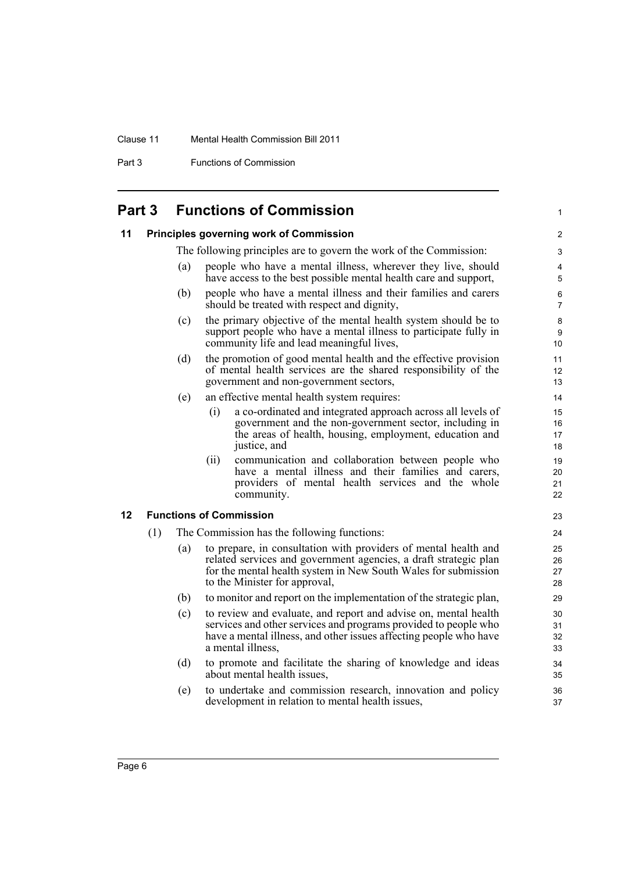### Clause 11 Mental Health Commission Bill 2011

Part 3 Functions of Commission

## **Part 3 Functions of Commission**

<span id="page-11-2"></span><span id="page-11-1"></span><span id="page-11-0"></span>

| 11 |                                                                                                                                                                                    |     | <b>Principles governing work of Commission</b>                                                                                                                                                                                         | 2                                 |  |  |
|----|------------------------------------------------------------------------------------------------------------------------------------------------------------------------------------|-----|----------------------------------------------------------------------------------------------------------------------------------------------------------------------------------------------------------------------------------------|-----------------------------------|--|--|
|    |                                                                                                                                                                                    |     | The following principles are to govern the work of the Commission:                                                                                                                                                                     | 3                                 |  |  |
|    |                                                                                                                                                                                    | (a) | people who have a mental illness, wherever they live, should<br>have access to the best possible mental health care and support,                                                                                                       | 4<br>5                            |  |  |
|    |                                                                                                                                                                                    | (b) | people who have a mental illness and their families and carers<br>should be treated with respect and dignity,                                                                                                                          | 6<br>$\overline{7}$               |  |  |
|    |                                                                                                                                                                                    | (c) | the primary objective of the mental health system should be to<br>support people who have a mental illness to participate fully in<br>community life and lead meaningful lives,                                                        | $\bf 8$<br>$\boldsymbol{9}$<br>10 |  |  |
|    | the promotion of good mental health and the effective provision<br>(d)<br>of mental health services are the shared responsibility of the<br>government and non-government sectors, |     |                                                                                                                                                                                                                                        |                                   |  |  |
|    |                                                                                                                                                                                    | (e) | an effective mental health system requires:                                                                                                                                                                                            | 14                                |  |  |
|    |                                                                                                                                                                                    |     | a co-ordinated and integrated approach across all levels of<br>(i)<br>government and the non-government sector, including in<br>the areas of health, housing, employment, education and<br>justice, and                                | 15<br>16<br>17<br>18              |  |  |
|    |                                                                                                                                                                                    |     | communication and collaboration between people who<br>(ii)<br>have a mental illness and their families and carers,<br>providers of mental health services and the whole<br>community.                                                  | 19<br>20<br>21<br>22              |  |  |
| 12 |                                                                                                                                                                                    |     | <b>Functions of Commission</b>                                                                                                                                                                                                         | 23                                |  |  |
|    | (1)                                                                                                                                                                                |     | The Commission has the following functions:                                                                                                                                                                                            | 24                                |  |  |
|    |                                                                                                                                                                                    | (a) | to prepare, in consultation with providers of mental health and<br>related services and government agencies, a draft strategic plan<br>for the mental health system in New South Wales for submission<br>to the Minister for approval, | 25<br>26<br>27<br>28              |  |  |
|    |                                                                                                                                                                                    | (b) | to monitor and report on the implementation of the strategic plan,                                                                                                                                                                     | 29                                |  |  |
|    |                                                                                                                                                                                    | (c) | to review and evaluate, and report and advise on, mental health<br>services and other services and programs provided to people who<br>have a mental illness, and other issues affecting people who have<br>a mental illness,           | 30<br>31<br>32<br>33              |  |  |
|    |                                                                                                                                                                                    | (d) | to promote and facilitate the sharing of knowledge and ideas<br>about mental health issues,                                                                                                                                            | 34<br>35                          |  |  |
|    |                                                                                                                                                                                    | (e) | to undertake and commission research, innovation and policy<br>development in relation to mental health issues,                                                                                                                        | 36<br>37                          |  |  |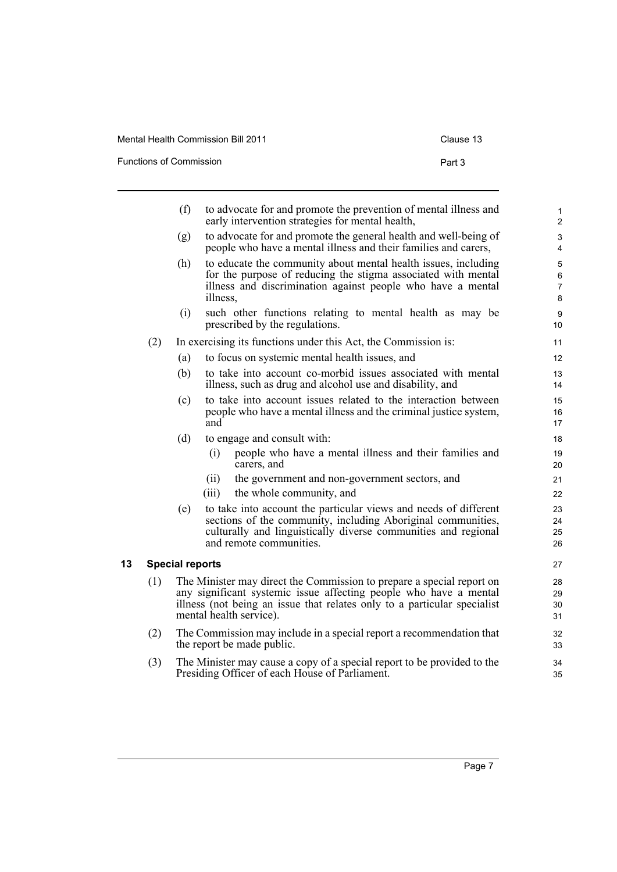Functions of Commission **Part 3** 

<span id="page-12-0"></span>

|    |     | (f)                    | to advocate for and promote the prevention of mental illness and<br>early intervention strategies for mental health,                                                                                                                              | $\mathbf{1}$<br>$\overline{2}$         |
|----|-----|------------------------|---------------------------------------------------------------------------------------------------------------------------------------------------------------------------------------------------------------------------------------------------|----------------------------------------|
|    |     | (g)                    | to advocate for and promote the general health and well-being of<br>people who have a mental illness and their families and carers,                                                                                                               | 3<br>$\overline{4}$                    |
|    |     | (h)                    | to educate the community about mental health issues, including<br>for the purpose of reducing the stigma associated with mental<br>illness and discrimination against people who have a mental<br>illness,                                        | $\sqrt{5}$<br>6<br>$\overline{7}$<br>8 |
|    |     | (i)                    | such other functions relating to mental health as may be<br>prescribed by the regulations.                                                                                                                                                        | 9<br>10                                |
|    | (2) |                        | In exercising its functions under this Act, the Commission is:                                                                                                                                                                                    | 11                                     |
|    |     | (a)                    | to focus on systemic mental health issues, and                                                                                                                                                                                                    | 12                                     |
|    |     | (b)                    | to take into account co-morbid issues associated with mental<br>illness, such as drug and alcohol use and disability, and                                                                                                                         | 13<br>14                               |
|    |     | (c)                    | to take into account issues related to the interaction between<br>people who have a mental illness and the criminal justice system,<br>and                                                                                                        | 15<br>16<br>17                         |
|    |     | (d)                    | to engage and consult with:                                                                                                                                                                                                                       | 18                                     |
|    |     |                        | (i)<br>people who have a mental illness and their families and<br>carers, and                                                                                                                                                                     | 19<br>20                               |
|    |     |                        | the government and non-government sectors, and<br>(ii)<br>the whole community, and<br>(iii)                                                                                                                                                       | 21<br>22                               |
|    |     | (e)                    | to take into account the particular views and needs of different<br>sections of the community, including Aboriginal communities,<br>culturally and linguistically diverse communities and regional<br>and remote communities.                     | 23<br>24<br>25<br>26                   |
| 13 |     | <b>Special reports</b> |                                                                                                                                                                                                                                                   | 27                                     |
|    | (1) |                        | The Minister may direct the Commission to prepare a special report on<br>any significant systemic issue affecting people who have a mental<br>illness (not being an issue that relates only to a particular specialist<br>mental health service). | 28<br>29<br>30<br>31                   |
|    | (2) |                        | The Commission may include in a special report a recommendation that<br>the report be made public.                                                                                                                                                | 32<br>33                               |
|    | (3) |                        | The Minister may cause a copy of a special report to be provided to the<br>Presiding Officer of each House of Parliament.                                                                                                                         | 34<br>35                               |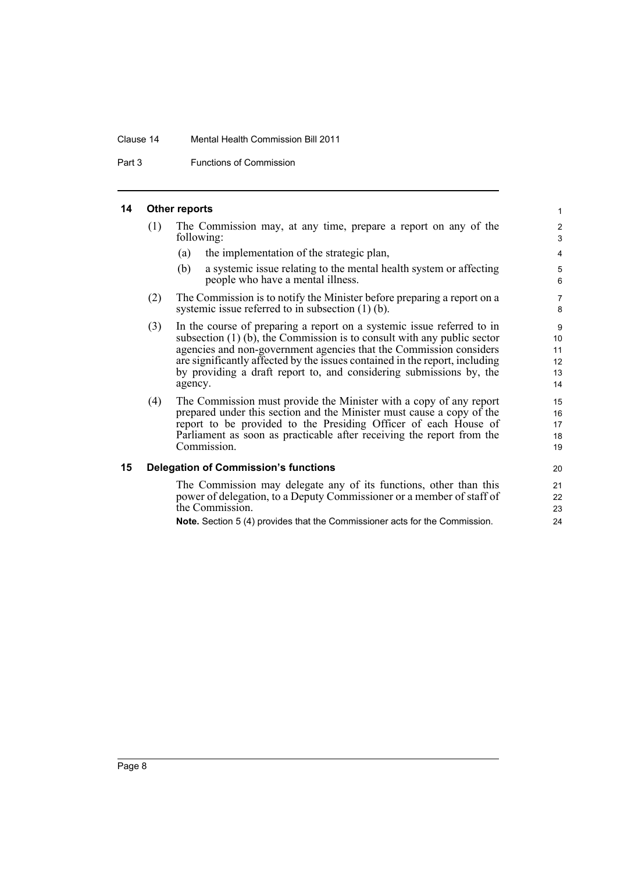#### Clause 14 Mental Health Commission Bill 2011

Part 3 Functions of Commission

#### <span id="page-13-0"></span>**14 Other reports**

| (1) | The Commission may, at any time, prepare a report on any of the |  |  |  |  |  |  |  |  |  |
|-----|-----------------------------------------------------------------|--|--|--|--|--|--|--|--|--|
|     | following:                                                      |  |  |  |  |  |  |  |  |  |

- (a) the implementation of the strategic plan,
- (b) a systemic issue relating to the mental health system or affecting people who have a mental illness.
- (2) The Commission is to notify the Minister before preparing a report on a systemic issue referred to in subsection (1) (b).
- (3) In the course of preparing a report on a systemic issue referred to in subsection  $(1)$  (b), the Commission is to consult with any public sector agencies and non-government agencies that the Commission considers are significantly affected by the issues contained in the report, including by providing a draft report to, and considering submissions by, the agency.
- (4) The Commission must provide the Minister with a copy of any report prepared under this section and the Minister must cause a copy of the report to be provided to the Presiding Officer of each House of Parliament as soon as practicable after receiving the report from the Commission.

#### <span id="page-13-1"></span>**15 Delegation of Commission's functions**

The Commission may delegate any of its functions, other than this power of delegation, to a Deputy Commissioner or a member of staff of the Commission.

**Note.** Section 5 (4) provides that the Commissioner acts for the Commission.

20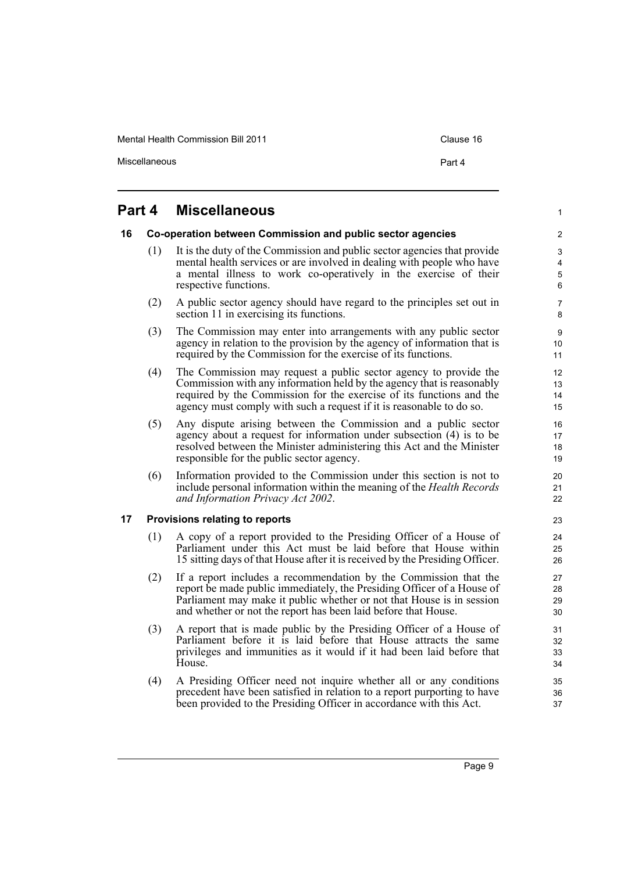Mental Health Commission Bill 2011 Clause 16

Miscellaneous **Part 4** 

1

### <span id="page-14-0"></span>**Part 4 Miscellaneous**

### <span id="page-14-1"></span>**16 Co-operation between Commission and public sector agencies**

- (1) It is the duty of the Commission and public sector agencies that provide mental health services or are involved in dealing with people who have a mental illness to work co-operatively in the exercise of their respective functions.
- (2) A public sector agency should have regard to the principles set out in section 11 in exercising its functions.
- (3) The Commission may enter into arrangements with any public sector agency in relation to the provision by the agency of information that is required by the Commission for the exercise of its functions.
- (4) The Commission may request a public sector agency to provide the Commission with any information held by the agency that is reasonably required by the Commission for the exercise of its functions and the agency must comply with such a request if it is reasonable to do so.
- (5) Any dispute arising between the Commission and a public sector agency about a request for information under subsection (4) is to be resolved between the Minister administering this Act and the Minister responsible for the public sector agency.
- (6) Information provided to the Commission under this section is not to include personal information within the meaning of the *Health Records and Information Privacy Act 2002*.

### <span id="page-14-2"></span>**17 Provisions relating to reports**

- (1) A copy of a report provided to the Presiding Officer of a House of Parliament under this Act must be laid before that House within 15 sitting days of that House after it is received by the Presiding Officer.
- (2) If a report includes a recommendation by the Commission that the report be made public immediately, the Presiding Officer of a House of Parliament may make it public whether or not that House is in session and whether or not the report has been laid before that House.
- (3) A report that is made public by the Presiding Officer of a House of Parliament before it is laid before that House attracts the same privileges and immunities as it would if it had been laid before that House.
- (4) A Presiding Officer need not inquire whether all or any conditions precedent have been satisfied in relation to a report purporting to have been provided to the Presiding Officer in accordance with this Act.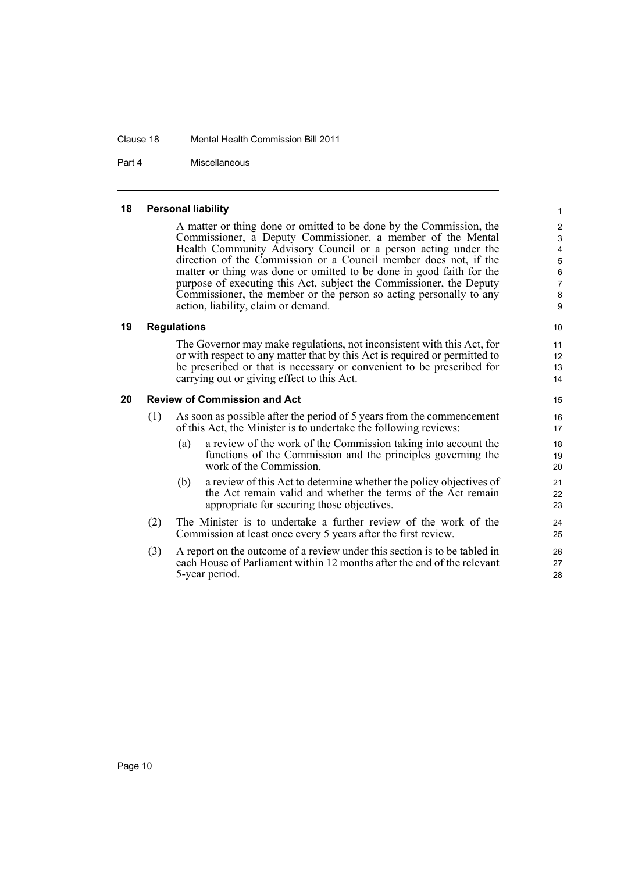#### Clause 18 Mental Health Commission Bill 2011

Part 4 Miscellaneous

### <span id="page-15-0"></span>**18 Personal liability**

A matter or thing done or omitted to be done by the Commission, the Commissioner, a Deputy Commissioner, a member of the Mental Health Community Advisory Council or a person acting under the direction of the Commission or a Council member does not, if the matter or thing was done or omitted to be done in good faith for the purpose of executing this Act, subject the Commissioner, the Deputy Commissioner, the member or the person so acting personally to any action, liability, claim or demand.

### <span id="page-15-1"></span>**19 Regulations**

The Governor may make regulations, not inconsistent with this Act, for or with respect to any matter that by this Act is required or permitted to be prescribed or that is necessary or convenient to be prescribed for carrying out or giving effect to this Act.

### <span id="page-15-2"></span>**20 Review of Commission and Act**

- (1) As soon as possible after the period of 5 years from the commencement of this Act, the Minister is to undertake the following reviews:
	- (a) a review of the work of the Commission taking into account the functions of the Commission and the principles governing the work of the Commission,
	- (b) a review of this Act to determine whether the policy objectives of the Act remain valid and whether the terms of the Act remain appropriate for securing those objectives.
- (2) The Minister is to undertake a further review of the work of the Commission at least once every 5 years after the first review.
- (3) A report on the outcome of a review under this section is to be tabled in each House of Parliament within 12 months after the end of the relevant 5-year period.

Page 10

10 11

12 13 14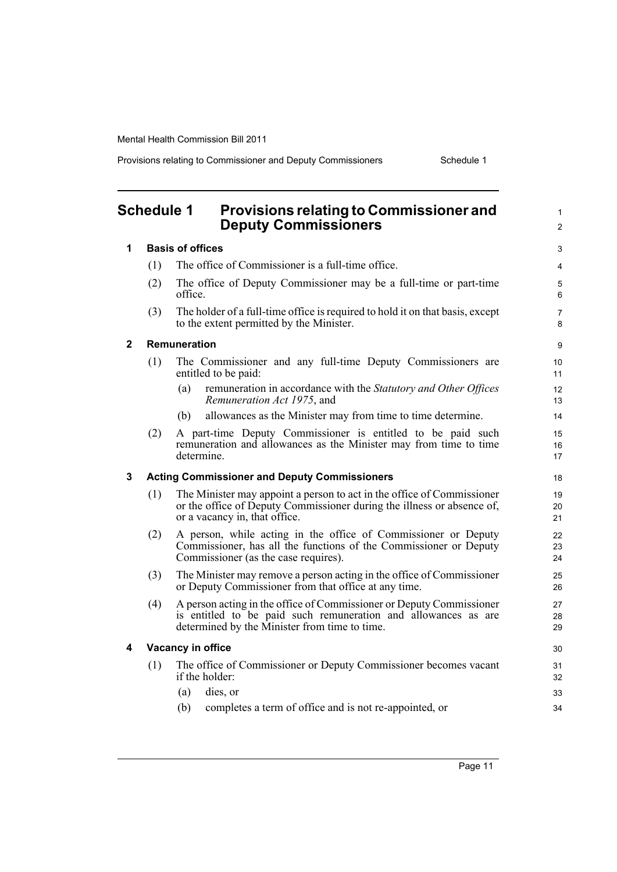Provisions relating to Commissioner and Deputy Commissioners Schedule 1

<span id="page-16-0"></span>

|              | <b>Schedule 1</b> | <b>Provisions relating to Commissioner and</b><br><b>Deputy Commissioners</b>                                                                                                           | $\mathbf{1}$<br>$\overline{2}$ |
|--------------|-------------------|-----------------------------------------------------------------------------------------------------------------------------------------------------------------------------------------|--------------------------------|
| 1            |                   | <b>Basis of offices</b>                                                                                                                                                                 | 3                              |
|              | (1)               | The office of Commissioner is a full-time office.                                                                                                                                       | 4                              |
|              | (2)               | The office of Deputy Commissioner may be a full-time or part-time<br>office.                                                                                                            | 5<br>6                         |
|              | (3)               | The holder of a full-time office is required to hold it on that basis, except<br>to the extent permitted by the Minister.                                                               | 7<br>8                         |
| $\mathbf{2}$ |                   | Remuneration                                                                                                                                                                            | 9                              |
|              | (1)               | The Commissioner and any full-time Deputy Commissioners are<br>entitled to be paid:                                                                                                     | 10<br>11                       |
|              |                   | remuneration in accordance with the Statutory and Other Offices<br>(a)<br>Remuneration Act 1975, and                                                                                    | 12<br>13                       |
|              |                   | allowances as the Minister may from time to time determine.<br>(b)                                                                                                                      | 14                             |
|              | (2)               | A part-time Deputy Commissioner is entitled to be paid such<br>remuneration and allowances as the Minister may from time to time<br>determine.                                          | 15<br>16<br>17                 |
| 3            |                   | <b>Acting Commissioner and Deputy Commissioners</b>                                                                                                                                     | 18                             |
|              | (1)               | The Minister may appoint a person to act in the office of Commissioner<br>or the office of Deputy Commissioner during the illness or absence of,<br>or a vacancy in, that office.       | 19<br>20<br>21                 |
|              | (2)               | A person, while acting in the office of Commissioner or Deputy<br>Commissioner, has all the functions of the Commissioner or Deputy<br>Commissioner (as the case requires).             | 22<br>23<br>24                 |
|              | (3)               | The Minister may remove a person acting in the office of Commissioner<br>or Deputy Commissioner from that office at any time.                                                           | 25<br>26                       |
|              | (4)               | A person acting in the office of Commissioner or Deputy Commissioner<br>is entitled to be paid such remuneration and allowances as are<br>determined by the Minister from time to time. | 27<br>28<br>29                 |
| 4            |                   | Vacancy in office                                                                                                                                                                       | 30                             |
|              | (1)               | The office of Commissioner or Deputy Commissioner becomes vacant<br>if the holder:                                                                                                      | 31<br>32                       |
|              |                   | (a)<br>dies, or                                                                                                                                                                         | 33                             |
|              |                   | completes a term of office and is not re-appointed, or<br>(b)                                                                                                                           | 34                             |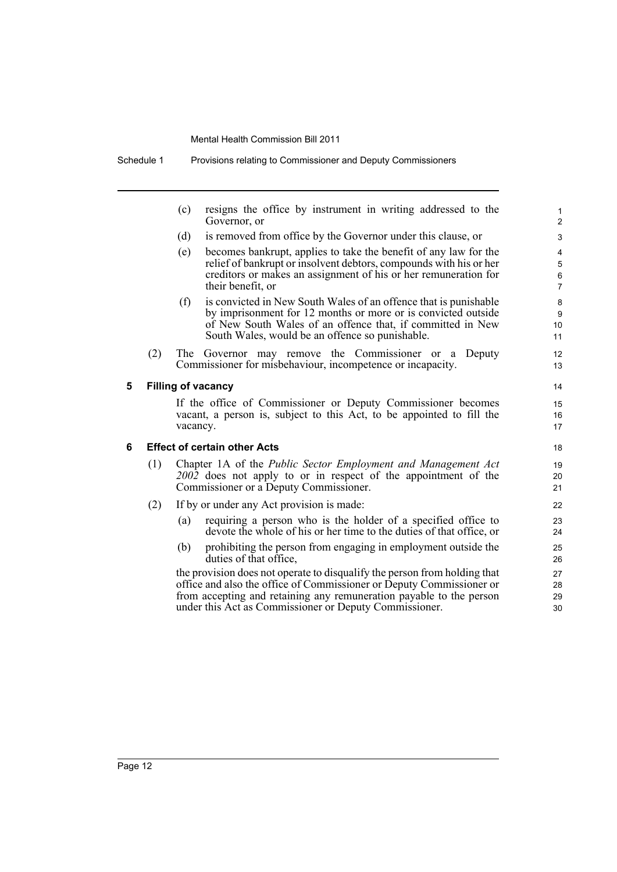(c) resigns the office by instrument in writing addressed to the Governor, or

- (d) is removed from office by the Governor under this clause, or
- (e) becomes bankrupt, applies to take the benefit of any law for the relief of bankrupt or insolvent debtors, compounds with his or her creditors or makes an assignment of his or her remuneration for their benefit, or
- (f) is convicted in New South Wales of an offence that is punishable by imprisonment for 12 months or more or is convicted outside of New South Wales of an offence that, if committed in New South Wales, would be an offence so punishable.
- (2) The Governor may remove the Commissioner or a Deputy Commissioner for misbehaviour, incompetence or incapacity.

### **5 Filling of vacancy**

If the office of Commissioner or Deputy Commissioner becomes vacant, a person is, subject to this Act, to be appointed to fill the vacancy.

### **6 Effect of certain other Acts**

- (1) Chapter 1A of the *Public Sector Employment and Management Act 2002* does not apply to or in respect of the appointment of the Commissioner or a Deputy Commissioner.
- (2) If by or under any Act provision is made:
	- (a) requiring a person who is the holder of a specified office to devote the whole of his or her time to the duties of that office, or
	- (b) prohibiting the person from engaging in employment outside the duties of that office,

the provision does not operate to disqualify the person from holding that office and also the office of Commissioner or Deputy Commissioner or from accepting and retaining any remuneration payable to the person under this Act as Commissioner or Deputy Commissioner.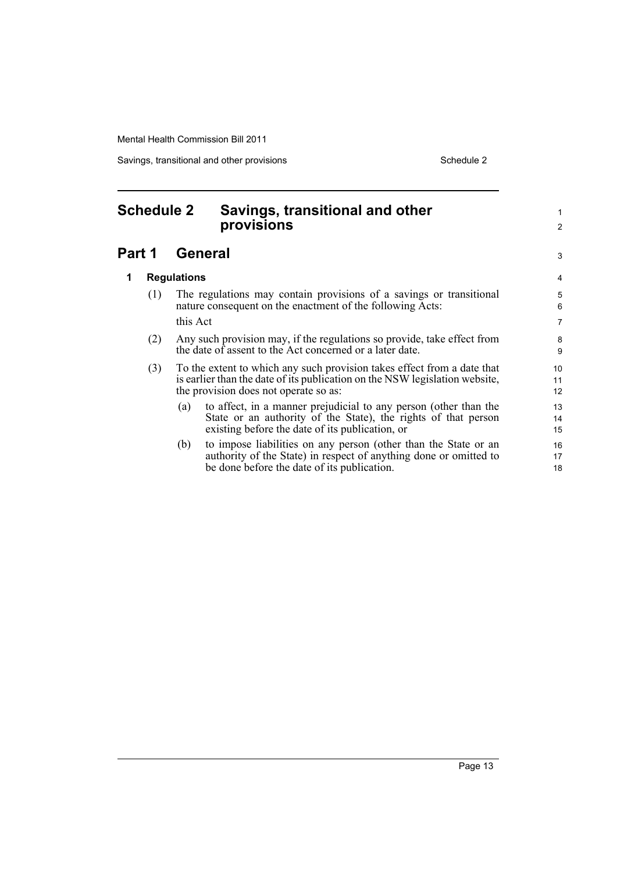Savings, transitional and other provisions Schedule 2 Schedule 2

<span id="page-18-0"></span>

| <b>Schedule 2</b> |          |                    | Savings, transitional and other<br>provisions                                                                                                                                                   |                |
|-------------------|----------|--------------------|-------------------------------------------------------------------------------------------------------------------------------------------------------------------------------------------------|----------------|
| Part 1            |          |                    | <b>General</b>                                                                                                                                                                                  | 3              |
| 1                 |          | <b>Regulations</b> |                                                                                                                                                                                                 | 4              |
|                   | (1)      |                    | The regulations may contain provisions of a savings or transitional<br>nature consequent on the enactment of the following Acts:                                                                | 5<br>6         |
|                   | this Act |                    | 7                                                                                                                                                                                               |                |
|                   | (2)      |                    | Any such provision may, if the regulations so provide, take effect from<br>the date of assent to the Act concerned or a later date.                                                             | 8<br>9         |
| (3)<br>(a)        |          |                    | To the extent to which any such provision takes effect from a date that<br>is earlier than the date of its publication on the NSW legislation website,<br>the provision does not operate so as: | 10<br>11<br>12 |
|                   |          |                    | to affect, in a manner prejudicial to any person (other than the<br>State or an authority of the State), the rights of that person<br>existing before the date of its publication, or           | 13<br>14<br>15 |
| (b)               |          |                    | to impose liabilities on any person (other than the State or an<br>authority of the State) in respect of anything done or omitted to<br>be done before the date of its publication.             | 16<br>17<br>18 |